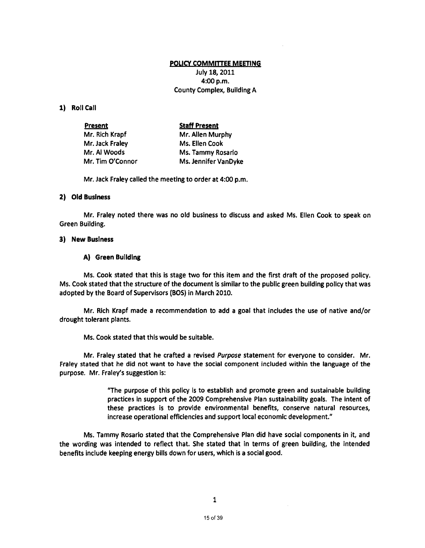#### poucy COMMmEE MEETING

July 18, 2011 4:00 p.m. County Complex, Building A

## 1) Roll Call

| <b>Present</b>   | <b>Staff Present</b> |
|------------------|----------------------|
| Mr. Rich Krapf   | Mr. Allen Murphy     |
| Mr. Jack Fraley  | Ms. Ellen Cook       |
| Mr. Al Woods     | Ms. Tammy Rosario    |
| Mr. Tim O'Connor | Ms. Jennifer VanDyke |

Mr. Jack Fraley called the meeting to order at 4:00 p.m.

#### 2) Old Business

Mr. Fraley noted there was no old business to discuss and asked Ms. Ellen Cook to speak on Green Building.

## 3) New Business

## A) Green Building

Ms. Cook stated that this is stage two for this item and the first draft of the proposed policy. Ms. Cook stated that the structure of the document is similar to the public green building policy that was adopted by the Board of Supervisors (BOS} in March 2010.

Mr. Rich Krapf made a recommendation to add a goal that includes the use of native and/or drought tolerant plants.

Ms. Cook stated that this would be suitable.

Mr. Fraley stated that he crafted a revised Purpose statement for everyone to consider. Mr. Fraley stated that he did not want to have the social component included within the language of the purpose. Mr. Fraley's suggestion is:

> "The purpose of this policy is to establish and promote green and sustainable building practices in support of the 2009 Comprehensive Plan sustainability goals. The intent of these practices is to provide environmental benefits, conserve natural resources, increase operational efficiencies and support local economic development."

Ms. Tammy Rosario stated that the Comprehensive Plan did have social components in it, and the wording was intended to reflect that. She stated that in terms of green building, the intended benefits include keeping energy bills down for users, which is a social good.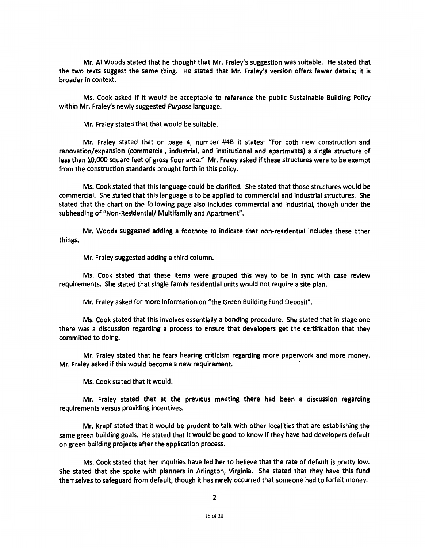Mr. AI Woods stated that he thought that Mr. Fraley's suggestion was suitable. He stated that the two texts suggest the same thing. He stated that Mr. Fraley's version offers fewer details; it is broader in context.

Ms. Cook asked if it would be acceptable to reference the public Sustainable Building Policy within Mr. Fraley's newly suggested Purpose language.

Mr. Fraley stated that that would be suitable.

Mr. Fraley stated that on page 4, number #4B it states: "For both new construction and renovation/expansion (commercial, industrial, and institutional and apartments) a single structure of less than 10,000 square feet of gross floor area." Mr. Fraley asked if these structures were to be exempt from the construction standards brought forth in this policy.

Ms. Cook stated that this language could be clarified. She stated that those structures would be commercial. She stated that this language is to be applied to commercial and industrial structures. She stated that the chart on the following page also includes commercial and industrial, though under the subheading of "Non-Residential/ Multifamily and Apartment''.

Mr. Woods suggested adding a footnote to indicate that non-residential includes these other things.

Mr. Fraley suggested adding a third column.

Ms. Cook stated that these items were grouped this way to be in sync with case review requirements. She stated that single family residential units would not require a site plan.

Mr. Fraley asked for more information on "the Green Building Fund Deposit''.

Ms. Cook stated that this involves essentially a bonding procedure. She stated that in stage one there was a discussion regarding a process to ensure that developers get the certification that they committed to doing.

Mr. Fraley stated that he fears hearing criticism regarding more paperwork and more money. Mr. Fraley asked if this would become a new requirement.

Ms. Cook stated that it would.

Mr. Fraley stated that at the previous meeting there had been a discussion regarding requirements versus providing incentives.

Mr. Krapf stated that it would be prudent to talk with other localities that are establishing the same green building goals. He stated that it would be good to know if they have had developers default on green building projects after the application process.

Ms. Cook stated that her inquiries have led her to believe that the rate of default is pretty low. She stated that she spoke with planners in Arlington, Virginia. She stated that they have this fund themselves to safeguard from default, though it has rarely occurred that someone had to forfeit money.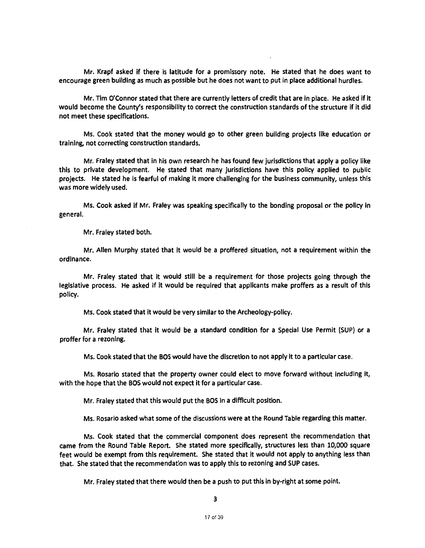Mr. Krapf asked if there is latitude for a promissory note. He stated that he does want to encourage green building as much as possible but he does not want to put in place additional hurdles.

Mr. Tim O'Connor stated that there are currently letters of credit that are in place. He asked if it would become the County's responsibility to correct the construction standards of the structure if it did not meet these specifications.

Ms. Cook stated that the money would go to other green building projects like education or training, not correcting construction standards.

Mr. Fraley stated that in his own research he has found few jurisdictions that apply a policy like this to private development. He stated that many jurisdictions have this policy applied to public projects. He stated he is fearful of making it more challenging for the business community, unless this was more widely used.

Ms. Cook asked if Mr. Fraley was speaking specifically to the bonding proposal or the policy in general.

Mr. Fraley stated both.

Mr. Allen Murphy stated that it would be a proffered situation, not a requirement within the ordinance.

Mr. Fraley stated that it would still be a requirement for those projects going through the legislative process. He asked if It would be required that applicants make proffers as a result of this policy.

Ms. Cook stated that it would be very similar to the Archeology-policy.

Mr. Fraley stated that it would be a standard condition for a Special Use Permit (SUP) or a proffer for a rezoning.

Ms. Cook stated that the BOS would have the discretion to not apply It to a particular case.

Ms. Rosario stated that the property owner could elect to move forward without including it, with the hope that the BOS would not expect it for a particular case.

Mr. Fraley stated that this would put the BOS in a difficult position.

Ms. Rosario asked what some of the discussions were at the Round Table regarding this matter.

Ms. Cook stated that the commercial component does represent the recommendation that came from the Round Table Report. She stated more specifically, structures less than 10,000 square feet would be exempt from this requirement. She stated that it would not apply to anything less than that. She stated that the recommendation was to apply this to rezoning and SUP cases.

Mr. Fraley stated that there would then be a push to put this in by-right at some point.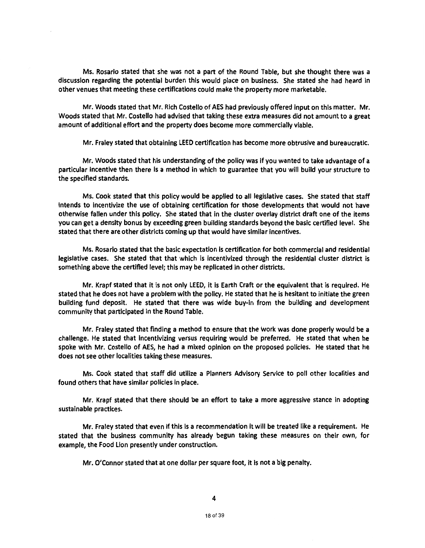Ms. Rosario stated that she was not a part of the Round Table, but she thought there was a discussion regarding the potential burden this would place on business. She stated she had heard in other venues that meeting these certifications could make the property more marketable.

Mr. Woods stated that Mr. Rich Costello of AES had previously offered input on this matter. Mr. Woods stated that Mr. Costello had advised that taking these extra measures did not amount to a great amount of additional effort and the property does become more commercially viable.

Mr. Fraley stated that obtaining LEED certification has become more obtrusive and bureaucratic.

Mr. Woods stated that his understanding of the policy was If you wanted to take advantage of a particular incentive then there is a method in which to guarantee that you will build your structure to the specified standards.

Ms. Cook stated that this policy would be applied to all legislative cases. She stated that staff intends to lncentivize the use of obtaining certification for those developments that would not have otherwise fallen under this policy. She stated that in the cluster overlay district draft one of the items you can get a density bonus by exceeding green building standards beyond the basic certified level. She stated that there are other districts coming up that would have similar incentives.

Ms. Rosario stated that the basic expectation is certification for both commercial and residential legislative cases. She stated that that which is incentivlzed through the residential cluster district is something above the certified level; this may be replicated in other districts.

Mr. Krapf stated that it is not only LEED, it Is Earth Craft or the equivalent that is required. He stated that he does not have a problem with the policy. He stated that he is hesitant to initiate the green building fund deposit. He stated that there was wide buy-In from the building and development community that participated in the Round Table.

Mr. Fraley stated that finding a method to ensure that the work was done properly would be a challenge. He stated that lncentlvizlng versus requiring would be preferred. He stated that when he spoke with Mr. Costello of AES, he had a mixed opinion on the proposed policies. He stated that he does not see other localities taking these measures.

Ms. Cook stated that staff did utilize a Planners Advisory Service to poll other localities and found others that have similar policies in place.

Mr. Krapf stated that there should be an effort to take a more aggressive stance in adopting sustainable practices.

Mr. Fraley stated that even if this is a recommendation it will be treated like a requirement. He stated that the business community has already begun taking these measures on their own, for example, the Food Lion presently under construction.

Mr. O'Connor stated that at one dollar per square foot, it is not a big penalty.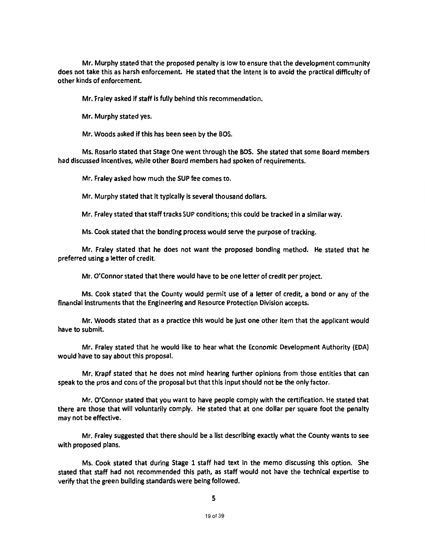Mr. Murphy stated that the proposed penalty is low to ensure that the development community does not take this as harsh enforcement. He stated that the intent is to avoid the practical difficulty of other kinds of enforcement.

Mr. Fraley asked if staff is fully behind this recommendation.

Mr. Murphy stated yes.

Mr. Woods asked if this has been seen by the BOS.

Ms. Rosario stated that Stage One went through the BOS. She stated that some Board members had discussed Incentives, while other Board members had spoken of requirements.

Mr. Fraley asked how much the SUP fee comes to.

Mr. Murphy stated that it typically is several thousand dollars.

Mr. Fraley stated that staff tracks SUP conditions; this could be tracked in a similar way.

Ms. Cook stated that the bonding process would serve the purpose of tracking.

Mr. Fraley stated that he does not want the proposed bonding method. He stated that he preferred using a letter of credit.

Mr. O'Connor stated that there would have to be one letter of credit per project.

Ms. Cook stated that the County would permit use of a letter of credit, a bond or any of the financial instruments that the Engineering and Resource Protection Division accepts.

Mr. Woods stated that as a practice this would be just one other Item that the applicant would have to submit.

Mr. Fraley stated that he would like to hear what the Economic Development Authority (EDA) would have to say about this proposal.

Mr. Krapf stated that he does not mind hearing further opinions from those entities that can speak to the pros and cons of the proposal but that this input should not be the only factor.

Mr. O'Connor stated that you want to have people comply with the certification. He stated that there are those that will voluntarily comply. He stated that at one dollar per square foot the penalty may not be effective.

Mr. Fraley suggested that there should be a Jist describing exactly what the County wants to see with proposed plans.

Ms. Cook stated that during Stage 1 staff had text In the memo discussing this option. She stated that staff had not recommended this path, as staff would not have the technical expertise to verify that the green building standards were being followed.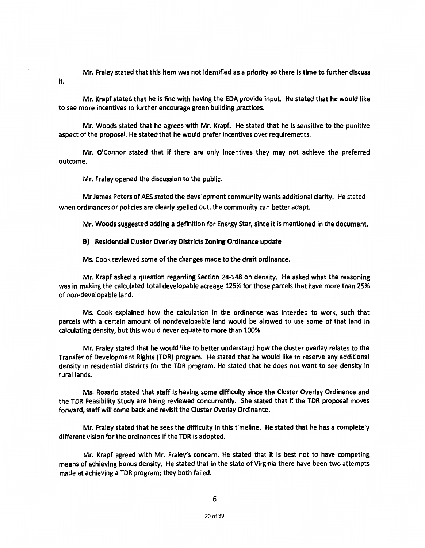Mr. Fraley stated that this item was not identified as a priority so there is time to further discuss it.

Mr. Krapf stated that he is fine with having the EDA provide input. He stated that he would like to see more incentives to further encourage green building practices.

Mr. Woods stated that he agrees with Mr. Krapf. He stated that he Is sensitive to the punitive aspect of the proposal. He stated that he would prefer Incentives over requirements.

Mr. O'Connor stated that if there are only incentives they may not achieve the preferred outcome.

Mr. Fraley opened the discussion to the public.

Mr James Peters of AES stated the development community wants additional clarity. He stated when ordinances or policies are clearly spelled out, the community can better adapt.

Mr. Woods suggested adding a definition for Energy Star, since it is mentioned in the document.

#### B) Residential Cluster Overlay Districts Zoning Ordinance update

Ms. Cook reviewed some of the changes made to the draft ordinance.

Mr. Krapf asked a question regarding Section 24-548 on density. He asked what the reasoning was in making the calculated total developable acreage 125% for those parcels that have more than 25% of non-developable land.

Ms. Cook explained how the calculation in the ordinance was intended to work, such that parcels with a certain amount of nondevelopable land would be allowed to use some of that land in calculating density, but this would never equate to more than 100%.

Mr. Fraley stated that he would like to better understand how the cluster overlay relates to the Transfer of Development Rights (TOR} program. He stated that he would like to reserve any additional density in residential districts for the TDR program. He stated that he does not want to see density in rural lands.

Ms. Rosario stated that staff Is having some difficulty since the Cluster Overlay Ordinance and the TDR Feasibility Study are being reviewed concurrently. She stated that if the TDR proposal moves forward, staff will come back and revisit the Cluster Overlay Ordinance.

Mr. Fraley stated that he sees the difficulty in this timeline. He stated that he has a completely different vision for the ordinances if the TOR is adopted.

Mr. Krapf agreed with Mr. Fraley's concern. He stated that it is best not to have competing means of achieving bonus density. He stated that in the state of VIrginia there have been two attempts made at achieving a TOR program; they both failed.

6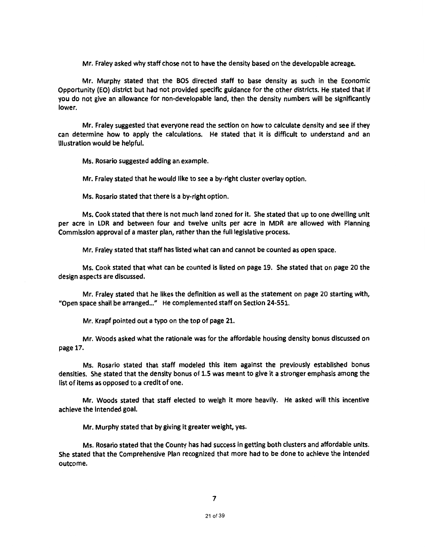Mr. Fraley asked why staff chose not to have the density based on the developable acreage.

Mr. Murphy stated that the BOS directed staff to base density as such in the Economic Opportunity (EO) district but had not provided specific guidance for the other districts. He stated that if you do not give an allowance for non-developable land, then the density numbers will be significantly lower.

Mr. Fraley suggested that everyone read the section on how to calculate density and see if they can determine how to apply the calculations. He stated that it is difficult to understand and an illustration would be helpful.

Ms. Rosario suggested adding an example.

Mr. Fraley stated that he would like to see a by-right cluster overlay option.

Ms. Rosario stated that there is a by-right option.

Ms. Cook stated that there is not much land zoned for it. She stated that up to one dwelling unit per acre in LDR and between four and twelve units per acre in MDR are allowed with Planning Commission approval of a master plan, rather than the full legislative process.

Mr. Fraley stated that staff has listed what can and cannot be counted as open space.

Ms. Cook stated that what can be counted is listed on page 19. She stated that on page 20 the design aspects are discussed.

Mr. Fraley stated that he likes the definition as well as the statement on page 20 starting with, "Open space shall be arranged..." He complemented staff on Section 24-551.

Mr. Krapf pointed out a typo on the top of page 21.

Mr. Woods asked what the rationale was for the affordable housing density bonus discussed on page 17.

Ms. Rosario stated that staff modeled this item against the previously established bonus densities. She stated that the density bonus of 1.5 was meant to give it a stronger emphasis among the list of items as opposed to a credit of one.

Mr. Woods stated that staff elected to weigh It more heavily. He asked will this incentive achieve the Intended goal.

Mr. Murphy stated that by giving It greater weight, yes.

Ms. Rosario stated that the County has had success in getting both clusters and affordable units. She stated that the Comprehensive Plan recognized that more had to be done to achieve the intended outcome.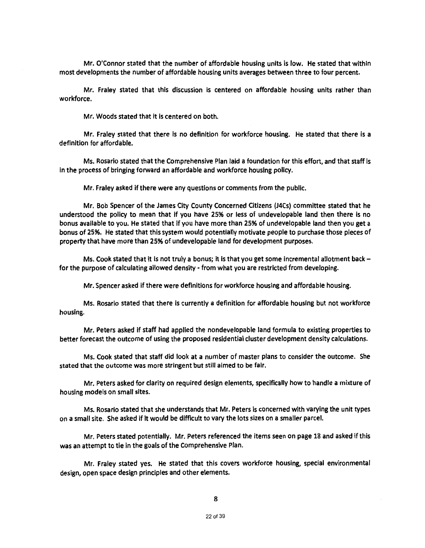Mr. O'Connor stated that the number of affordable housing units is low. He stated that within most developments the number of affordable housing units averages between three to four percent.

Mr. Fraley stated that this discussion is centered on affordable housing units rather than workforce.

Mr. Woods stated that it is centered on both.

Mr. Fraley stated that there is no definition for workforce housing. He stated that there is a definition for affordable.

Ms. Rosario stated that the Comprehensive Plan laid a foundation for this effort, and that staff is In the process of bringing forward an affordable and workforce housing policy.

Mr. Fraley asked if there were any questions or comments from the public.

Mr. Bob Spencer of the James City County Concerned Citizens (J4Cs) committee stated that he understood the policy to mean that if you have 25% or less of undevelopable land then there is no bonus available to you. He stated that if you have more than 25% of undevelopable land then you get a bonus of 25%. He stated that this system would potentially motivate people to purchase those pieces of property that have more than 25% of undevelopable land for development purposes.

Ms. Cook stated that it is not truly a bonus; it is that you get some incremental allotment back  $$ for the purpose of calculating allowed density- from what you are restricted from developing.

Mr. Spencer asked if there were definitions for workforce housing and affordable housing.

Ms. Rosario stated that there Is currently a definition for affordable housing but not workforce housing.

Mr. Peters asked If staff had applied the nondevelopable land formula to existing properties to better forecast the outcome of using the proposed residential cluster development density calculations.

Ms. Cook stated that staff did look at a number of master plans to consider the outcome. She stated that the outcome was more stringent but still aimed to be fair.

Mr. Peters asked for clarity on required design elements, specifically how to handle a mixture of housing models on small sites.

Ms. Rosario stated that she understands that Mr. Peters is concerned with varying the unit types on a small site. She asked if it would be difficult to vary the lots sizes on a smaller parcel.

Mr. Peters stated potentially. Mr. Peters referenced the items seen on page 18 and asked if this was an attempt to tie in the goals of the Comprehensive Plan.

Mr. Fraley stated yes. He stated that this covers workforce housing, special environmental design, open space design principles and other elements.